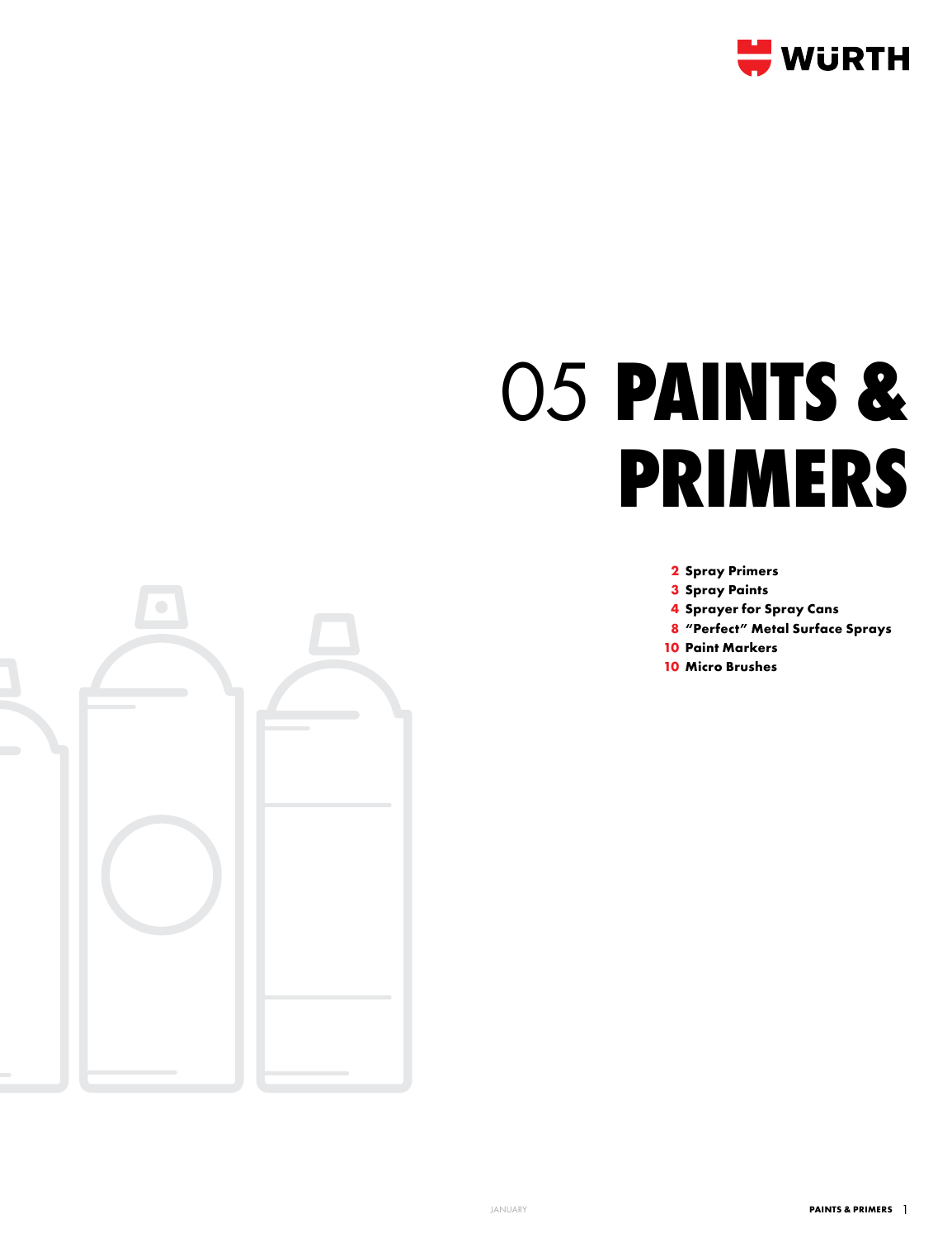

# 05 **Paints & primers**

**2 Spray Primers**

- **3 Spray Paints**
- **4 Sprayer for Spray Cans**
- **8 "Perfect" Metal Surface Sprays**
- **10 Paint Markers**
- **10 Micro Brushes**

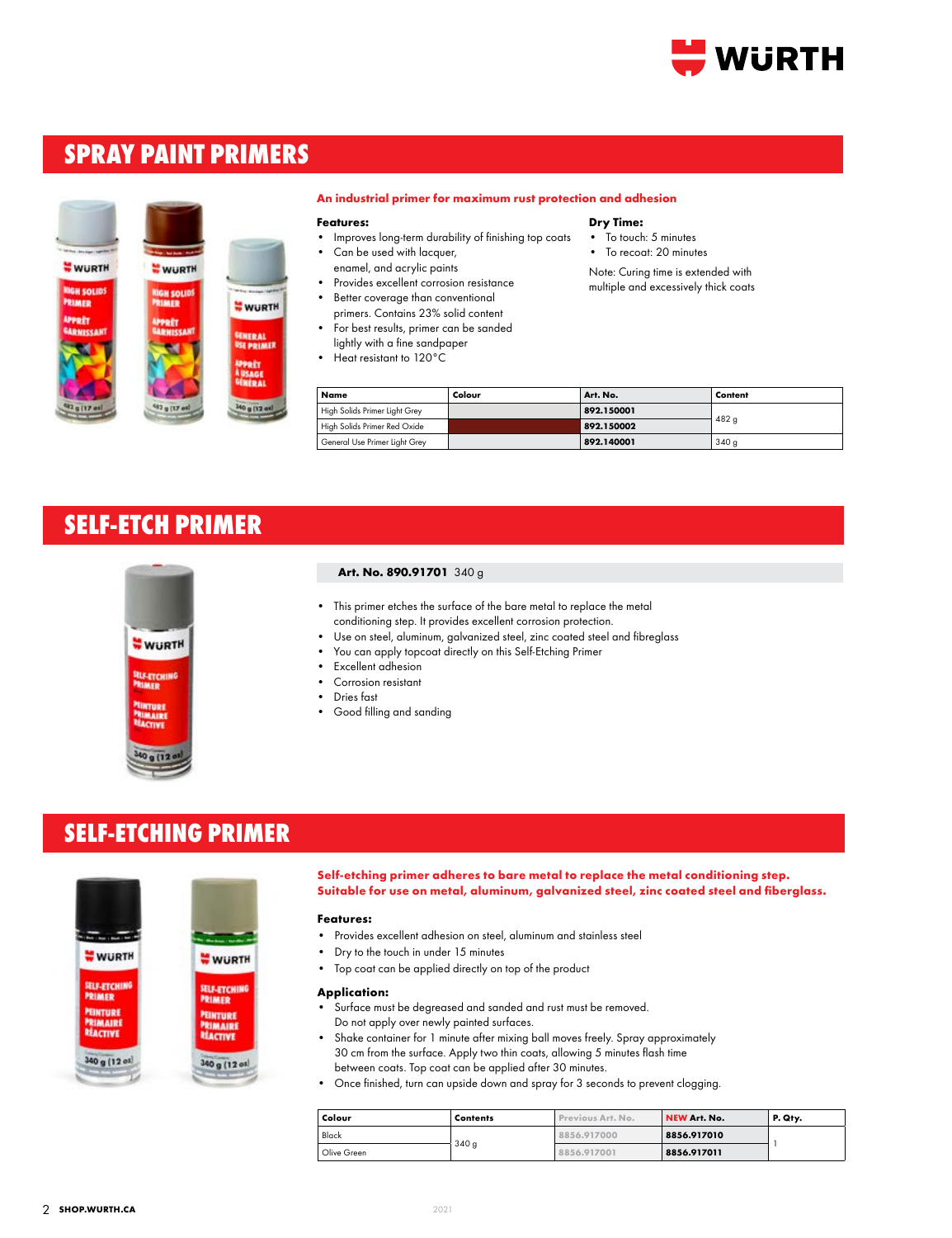

# **SPRAY PAINT PRIMERS**



#### **An industrial primer for maximum rust protection and adhesion**

#### **Features:**

- Improves long-term durability of finishing top coats
- Can be used with lacquer, enamel, and acrylic paints
- Provides excellent corrosion resistance
- Better coverage than conventional
- primers. Contains 23% solid content • For best results, primer can be sanded
- lightly with a fine sandpaper
- Heat resistant to 120°C

#### **Dry Time:**

- To touch: 5 minutes
- To recoat: 20 minutes

Note: Curing time is extended with multiple and excessively thick coats

| Name                          | Colour | Art. No.   | Content |
|-------------------------------|--------|------------|---------|
| High Solids Primer Light Grey |        | 892.150001 |         |
| High Solids Primer Red Oxide  |        | 892.150002 | 482q    |
| General Use Primer Light Grey |        | 892.140001 | 340q    |

# **SELF-ETCH PRIMER**



#### **Art. No. 890.91701** 340 g

- This primer etches the surface of the bare metal to replace the metal conditioning step. It provides excellent corrosion protection.
- Use on steel, aluminum, galvanized steel, zinc coated steel and fibreglass
- You can apply topcoat directly on this Self-Etching Primer
- Excellent adhesion
- Corrosion resistant
- Dries fast
- Good filling and sanding

### **SELF-ETCHING PRIMER**



**Self-etching primer adheres to bare metal to replace the metal conditioning step. Suitable for use on metal, aluminum, galvanized steel, zinc coated steel and fiberglass.**

#### **Features:**

- Provides excellent adhesion on steel, aluminum and stainless steel
- Dry to the touch in under 15 minutes
- Top coat can be applied directly on top of the product

#### **Application:**

- Surface must be degreased and sanded and rust must be removed. Do not apply over newly painted surfaces.
- Shake container for 1 minute after mixing ball moves freely. Spray approximately 30 cm from the surface. Apply two thin coats, allowing 5 minutes flash time between coats. Top coat can be applied after 30 minutes.
- Once finished, turn can upside down and spray for 3 seconds to prevent clogging.

| Colour      | <b>Contents</b> | Previous Art. No. | NEW Art. No. | P. Qty. |
|-------------|-----------------|-------------------|--------------|---------|
| Black       |                 | 8856.917000       | 8856.917010  |         |
| Olive Green | 340q            | 8856,917001       | 8856.917011  |         |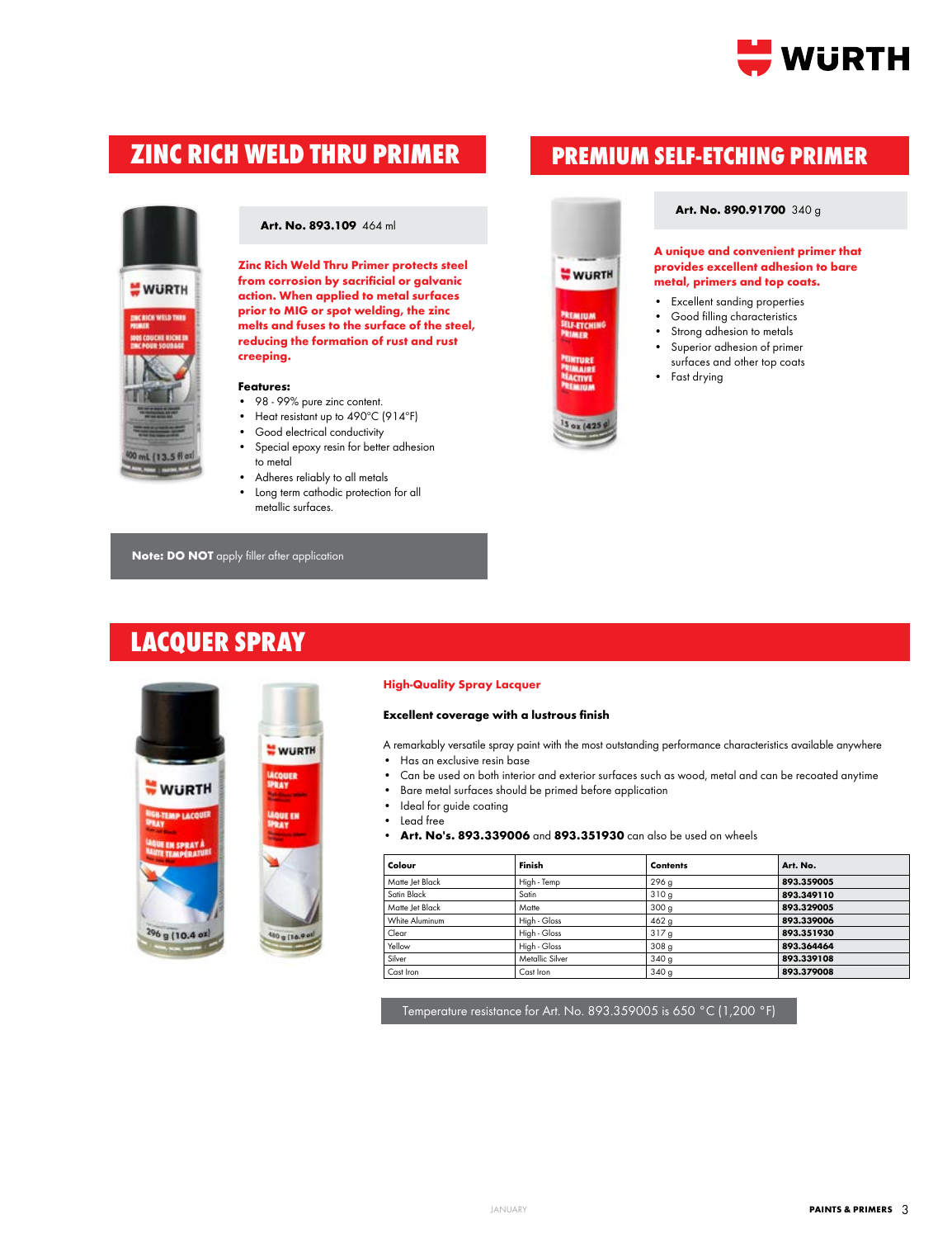

# **ZINC RICH WELD THRU PRIMER PREMIUM SELF-ETCHING PRIMER**



**WURTH** 

#### **Art. No. 893.109** 464 ml

**Zinc Rich Weld Thru Primer protects steel from corrosion by sacrificial or galvanic action. When applied to metal surfaces prior to MIG or spot welding, the zinc melts and fuses to the surface of the steel, reducing the formation of rust and rust creeping.**

#### **Features:**

- 98 99% pure zinc content.
- Heat resistant up to 490°C (914°F)
- Good electrical conductivity
- Special epoxy resin for better adhesion to metal
- Adheres reliably to all metals
- Long term cathodic protection for all metallic surfaces.

**Note: DO NOT** apply filler after application

### **LACQUER SPRAY**



#### **High-Quality Spray Lacquer**

#### **Excellent coverage with a lustrous finish**

A remarkably versatile spray paint with the most outstanding performance characteristics available anywhere • Has an exclusive resin base

- 
- Can be used on both interior and exterior surfaces such as wood, metal and can be recoated anytime
- Bare metal surfaces should be primed before application
- Ideal for guide coating
- Lead free
- **• Art. No's. 893.339006** and **893.351930** can also be used on wheels

**WURTH** 

**HLF-ETCH** 

| Colour          | Finish          | <b>Contents</b>  | Art. No.   |
|-----------------|-----------------|------------------|------------|
| Matte Jet Black | High - Temp     | 296 g            | 893.359005 |
| Satin Black     | Satin           | 310g             | 893.349110 |
| Matte Jet Black | Matte           | 300 <sub>g</sub> | 893.329005 |
| White Aluminum  | High - Gloss    | 462 <sub>g</sub> | 893.339006 |
| Clear           | High - Gloss    | 317g             | 893.351930 |
| Yellow          | High - Gloss    | 308 <sub>g</sub> | 893.364464 |
| Silver          | Metallic Silver | 340q             | 893.339108 |
| Cast Iron       | Cast Iron       | 340 <sub>q</sub> | 893.379008 |

Temperature resistance for Art. No. 893.359005 is 650 °C (1,200 °F)

#### **Art. No. 890.91700** 340 g

**A unique and convenient primer that provides excellent adhesion to bare metal, primers and top coats.**

- Excellent sanding properties
- Good filling characteristics
- Strong adhesion to metals
- Superior adhesion of primer surfaces and other top coats
- Fast drying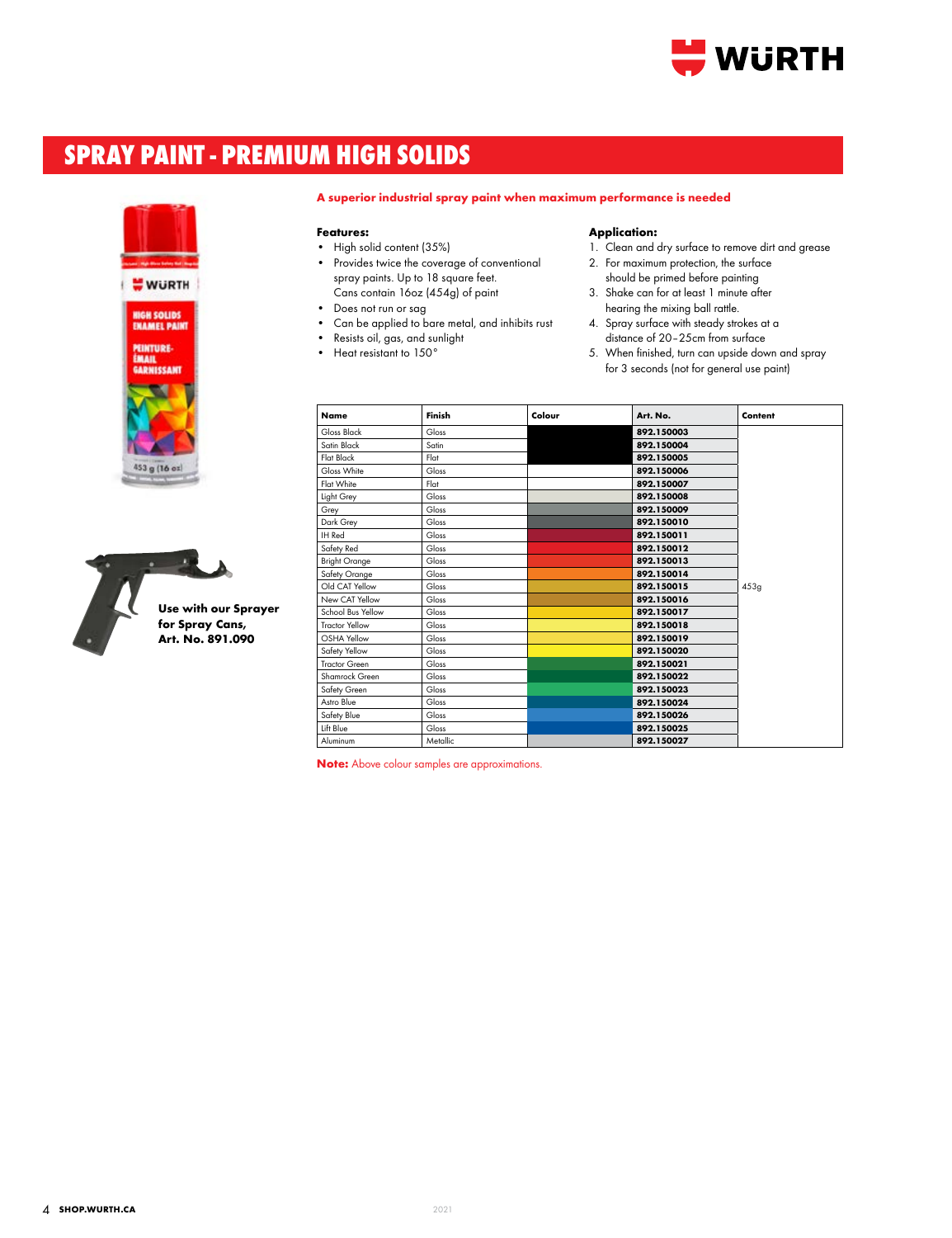

# **SPRAY PAINT - PREMIUM HIGH SOLIDS**





#### **A superior industrial spray paint when maximum performance is needed**

#### **Features:**

- High solid content (35%) • Provides twice the coverage of conventional spray paints. Up to 18 square feet. Cans contain 16oz (454g) of paint
- Does not run or sag
- Can be applied to bare metal, and inhibits rust
- Resists oil, gas, and sunlight
- Heat resistant to 150°

#### **Application:**

- 1. Clean and dry surface to remove dirt and grease
- 2. For maximum protection, the surface should be primed before painting
- 3. Shake can for at least 1 minute after hearing the mixing ball rattle.
- 4. Spray surface with steady strokes at a distance of 20–25cm from surface
- 5. When finished, turn can upside down and spray for 3 seconds (not for general use paint)

| <b>Name</b>           | Finish   | Colour | Art. No.   | Content |
|-----------------------|----------|--------|------------|---------|
| Gloss Black           | Gloss    |        | 892.150003 |         |
| Satin Black           | Satin    |        | 892.150004 |         |
| <b>Flat Black</b>     | Flat     |        | 892.150005 |         |
| Gloss White           | Gloss    |        | 892.150006 |         |
| Flat White            | Flat     |        | 892.150007 |         |
| Light Grey            | Gloss    |        | 892.150008 |         |
| Grey                  | Gloss    |        | 892.150009 |         |
| Dark Grey             | Gloss    |        | 892.150010 |         |
| IH Red                | Gloss    |        | 892.150011 |         |
| Safety Red            | Gloss    |        | 892.150012 |         |
| <b>Bright Orange</b>  | Gloss    |        | 892.150013 |         |
| Safety Orange         | Gloss    |        | 892.150014 |         |
| Old CAT Yellow        | Gloss    |        | 892.150015 | 453q    |
| New CAT Yellow        | Gloss    |        | 892.150016 |         |
| School Bus Yellow     | Gloss    |        | 892.150017 |         |
| <b>Tractor Yellow</b> | Gloss    |        | 892.150018 |         |
| OSHA Yellow           | Gloss    |        | 892.150019 |         |
| Safety Yellow         | Gloss    |        | 892.150020 |         |
| <b>Tractor Green</b>  | Gloss    |        | 892.150021 |         |
| Shamrock Green        | Gloss    |        | 892.150022 |         |
| Safety Green          | Gloss    |        | 892.150023 |         |
| Astro Blue            | Gloss    |        | 892.150024 |         |
| Safety Blue           | Gloss    |        | 892.150026 |         |
| Lift Blue             | Gloss    |        | 892.150025 |         |
| Aluminum              | Metallic |        | 892.150027 |         |

**Note:** Above colour samples are approximations.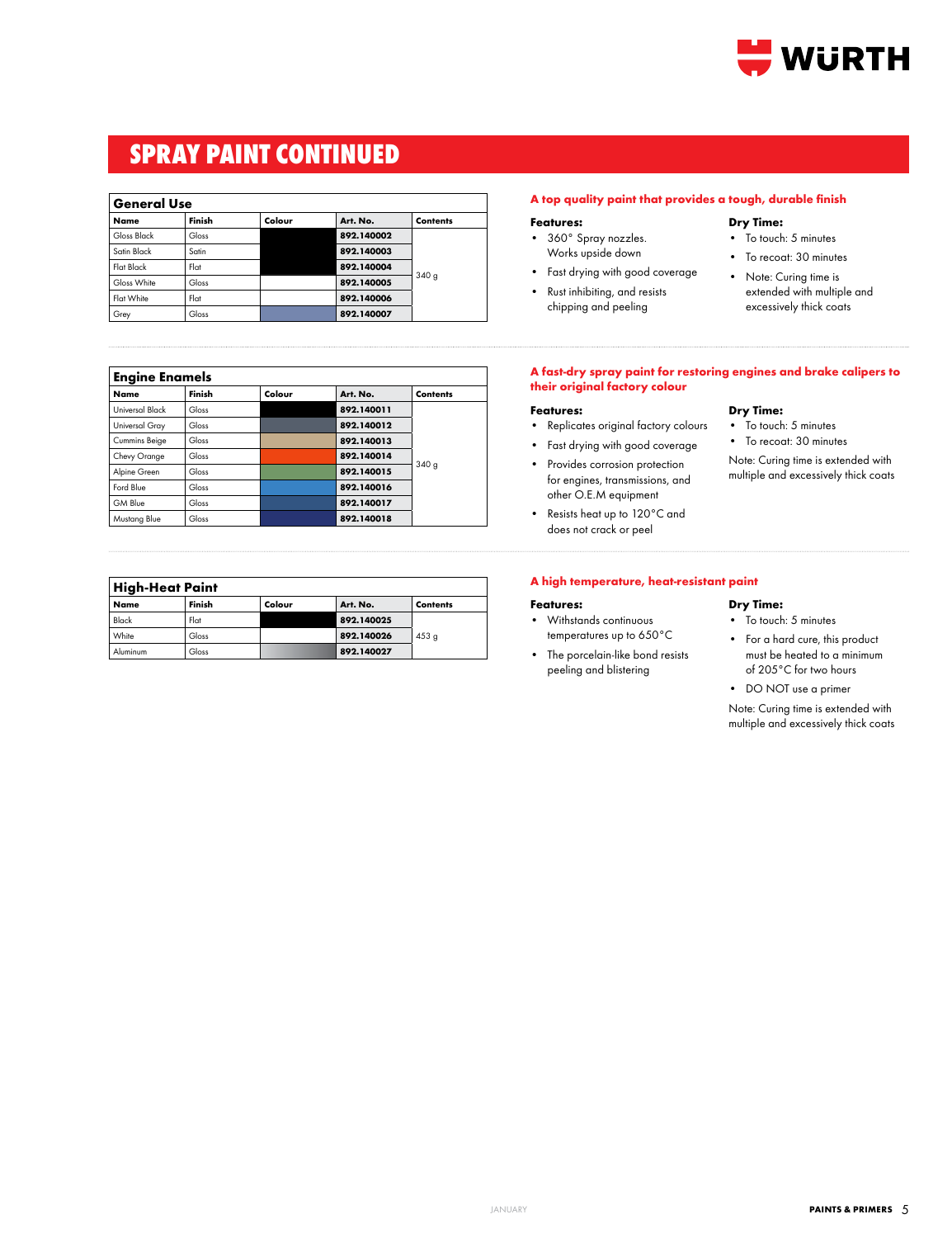

# **SPRAY PAINT CONTINUED**

#### **General Use**

| ----------  |        |        |            |                  |
|-------------|--------|--------|------------|------------------|
| <b>Name</b> | Finish | Colour | Art. No.   | <b>Contents</b>  |
| Gloss Black | Gloss  |        | 892.140002 |                  |
| Satin Black | Satin  |        | 892.140003 |                  |
| Flat Black  | Flat   |        | 892.140004 |                  |
| Gloss White | Gloss  |        | 892.140005 | 340 <sub>q</sub> |
| Flat White  | Flat   |        | 892.140006 |                  |
| Grey        | Gloss  |        | 892.140007 |                  |

| <b>Engine Enamels</b> |        |        |            |                 |
|-----------------------|--------|--------|------------|-----------------|
| <b>Name</b>           | Finish | Colour | Art. No.   | <b>Contents</b> |
| Universal Black       | Gloss  |        | 892.140011 |                 |
| Universal Gray        | Gloss  |        | 892.140012 |                 |
| Cummins Beige         | Gloss  |        | 892.140013 |                 |
| Chevy Orange          | Gloss  |        | 892.140014 |                 |
| Alpine Green          | Gloss  |        | 892.140015 | 340g            |
| Ford Blue             | Gloss  |        | 892.140016 |                 |
| GM Blue               | Gloss  |        | 892.140017 |                 |
| Mustang Blue          | Gloss  |        | 892.140018 |                 |

| <b>High-Heat Paint</b> |        |        |          |                 |  |
|------------------------|--------|--------|----------|-----------------|--|
| Name                   | Finish | Colour | Art. No. | <b>Contents</b> |  |

| Name     | Finish | Colour | Art. No.   | Contents         |
|----------|--------|--------|------------|------------------|
| Black    | Flat   |        | 892.140025 |                  |
| White    | Gloss  |        | 892.140026 | 453 <sub>g</sub> |
| Aluminum | Gloss  |        | 892.140027 |                  |

#### **A top quality paint that provides a tough, durable finish**

#### **Features:**

- 360° Spray nozzles. Works upside down
- Fast drying with good coverage
- Rust inhibiting, and resists chipping and peeling

#### **Dry Time:**

**Dry Time:** • To touch: 5 minutes • To recoat: 30 minutes Note: Curing time is extended with multiple and excessively thick coats

- To touch: 5 minutes
- To recoat: 30 minutes
- Note: Curing time is extended with multiple and excessively thick coats

#### **A fast-dry spray paint for restoring engines and brake calipers to their original factory colour**

#### **Features:**

- Replicates original factory colours
- Fast drying with good coverage
- Provides corrosion protection for engines, transmissions, and other O.E.M equipment
- Resists heat up to 120°C and does not crack or peel

#### **A high temperature, heat-resistant paint**

#### **Features:**

- Withstands continuous temperatures up to 650°C
- The porcelain-like bond resists peeling and blistering

#### **Dry Time:**

- To touch: 5 minutes
- For a hard cure, this product must be heated to a minimum of 205°C for two hours
- DO NOT use a primer

Note: Curing time is extended with multiple and excessively thick coats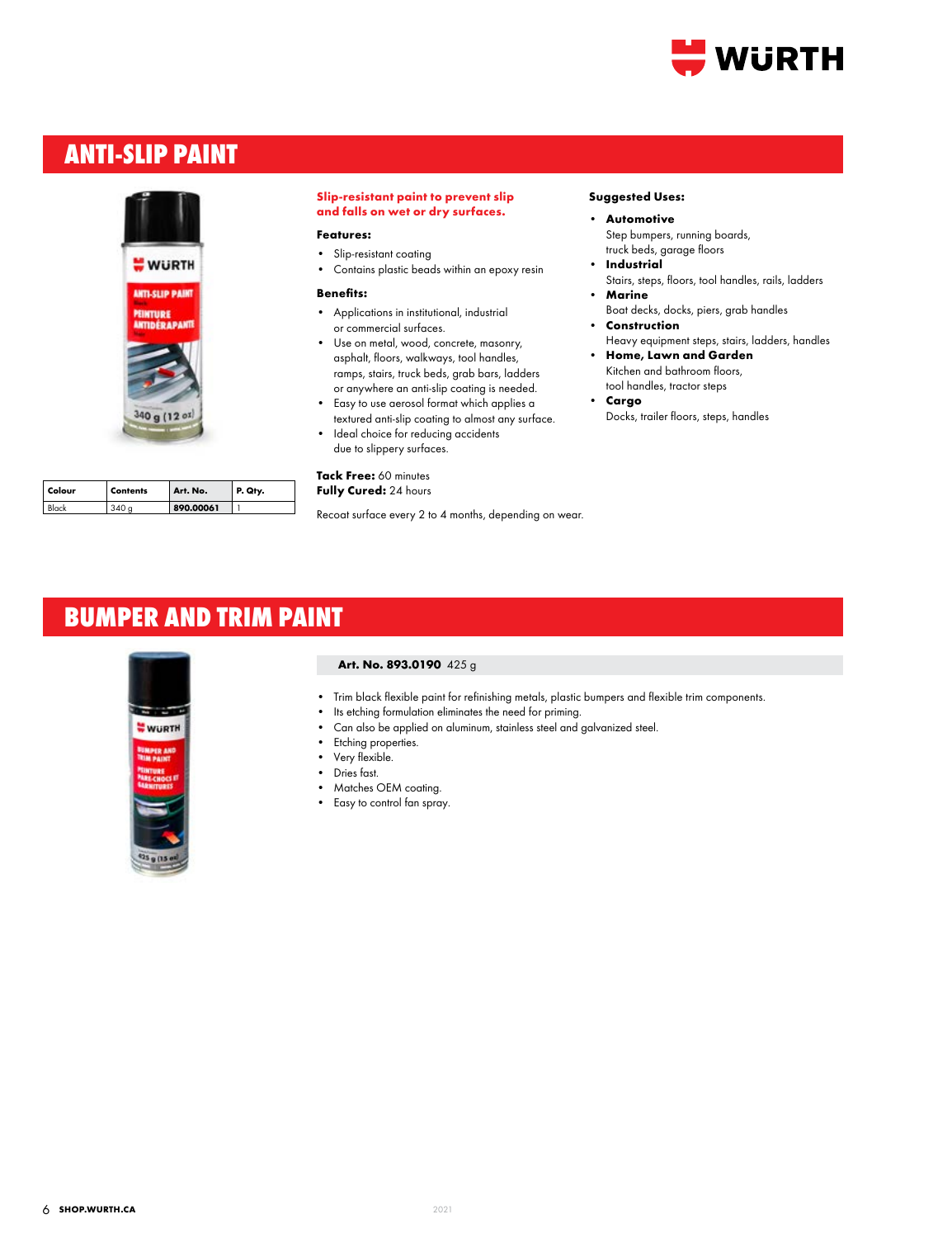

# **ANTI-SLIP PAINT**



| Colour | <b>Contents</b> | Art. No.  | P. Qty. |
|--------|-----------------|-----------|---------|
| Black  | 340a            | 890.00061 |         |

#### **Slip-resistant paint to prevent slip and falls on wet or dry surfaces.**

#### **Features:**

- Slip-resistant coating
- Contains plastic beads within an epoxy resin

#### **Benefits:**

- Applications in institutional, industrial or commercial surfaces.
- Use on metal, wood, concrete, masonry, asphalt, floors, walkways, tool handles, ramps, stairs, truck beds, grab bars, ladders or anywhere an anti-slip coating is needed.
- Easy to use aerosol format which applies a textured anti-slip coating to almost any surface.
- Ideal choice for reducing accidents due to slippery surfaces.

#### **Tack Free:** 60 minutes **Fully Cured:** 24 hours

Recoat surface every 2 to 4 months, depending on wear.

#### **Suggested Uses:**

- **• Automotive** Step bumpers, running boards, truck beds, garage floors
- **• Industrial** Stairs, steps, floors, tool handles, rails, ladders
- **• Marine**
- Boat decks, docks, piers, grab handles **• Construction**
- Heavy equipment steps, stairs, ladders, handles **• Home, Lawn and Garden**
- Kitchen and bathroom floors, tool handles, tractor steps
- **• Cargo** Docks, trailer floors, steps, handles

### **BUMPER AND TRIM PAINT**



#### **Art. No. 893.0190** 425 g

- Trim black flexible paint for refinishing metals, plastic bumpers and flexible trim components.
- Its etching formulation eliminates the need for priming.
- Can also be applied on aluminum, stainless steel and galvanized steel.
- Etching properties.
- Very flexible.
- Dries fast.
- Matches OEM coating.
- Easy to control fan spray.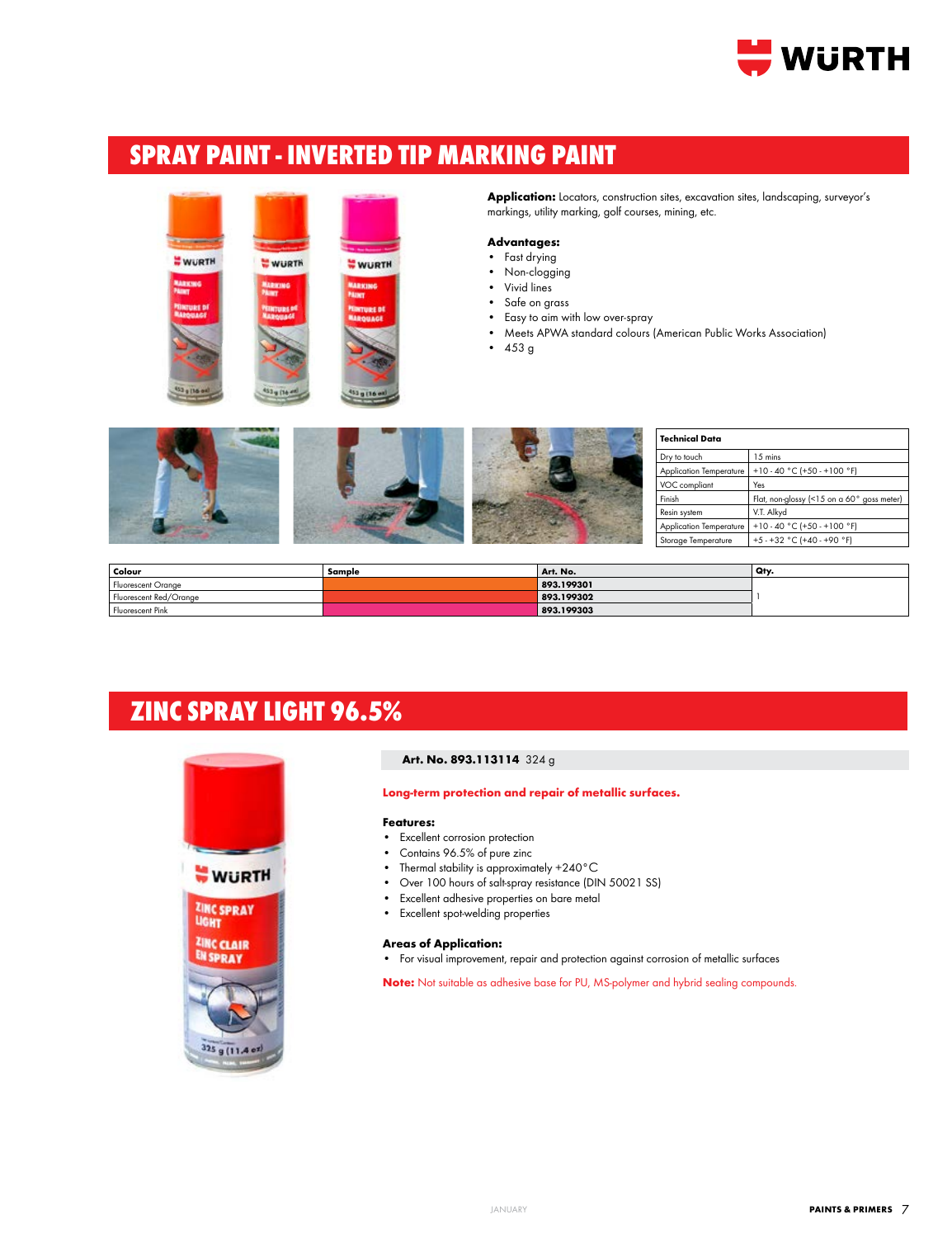

# **SPRAY PAINT - INVERTED TIP MARKING PAINT**



Application: Locators, construction sites, excavation sites, landscaping, surveyor's markings, utility marking, golf courses, mining, etc.

#### **Advantages:**

- Fast drying
- Non-clogging
- Vivid lines • Safe on grass
- Easy to aim with low over-spray
- Meets APWA standard colours (American Public Works Association)
- 453 g

|  | <b>Technical Data</b> |                                                       |
|--|-----------------------|-------------------------------------------------------|
|  | Dry to touch          | 15 mins                                               |
|  |                       | Application Temperature   +10 - 40 °C (+50 - +100 °F) |
|  | VOC compliant         | Yes                                                   |
|  | Finish                | Flat, non-glossy (<15 on a 60° goss meter)            |
|  | Resin system          | V.T. Alkyd                                            |
|  |                       | Application Temperature   +10 - 40 °C (+50 - +100 °F) |
|  | Storage Temperature   | +5 - +32 °C (+40 - +90 °F)                            |

| Colour                 | Sample | Art. No.   | Qty |
|------------------------|--------|------------|-----|
| Fluorescent Orange     |        | 893.199301 |     |
| Fluorescent Red/Orange |        | 893.199302 |     |
| Fluorescent Pink       |        | 893.199303 |     |

# **ZINC SPRAY LIGHT 96.5%**



#### **Art. No. 893.113114** 324 g

**Long-term protection and repair of metallic surfaces.**

#### **Features:**

- Excellent corrosion protection
- Contains 96.5% of pure zinc
- Thermal stability is approximately +240°C
- Over 100 hours of salt-spray resistance (DIN 50021 SS)
- Excellent adhesive properties on bare metal
- Excellent spot-welding properties

#### **Areas of Application:**

• For visual improvement, repair and protection against corrosion of metallic surfaces

**Note:** Not suitable as adhesive base for PU, MS-polymer and hybrid sealing compounds.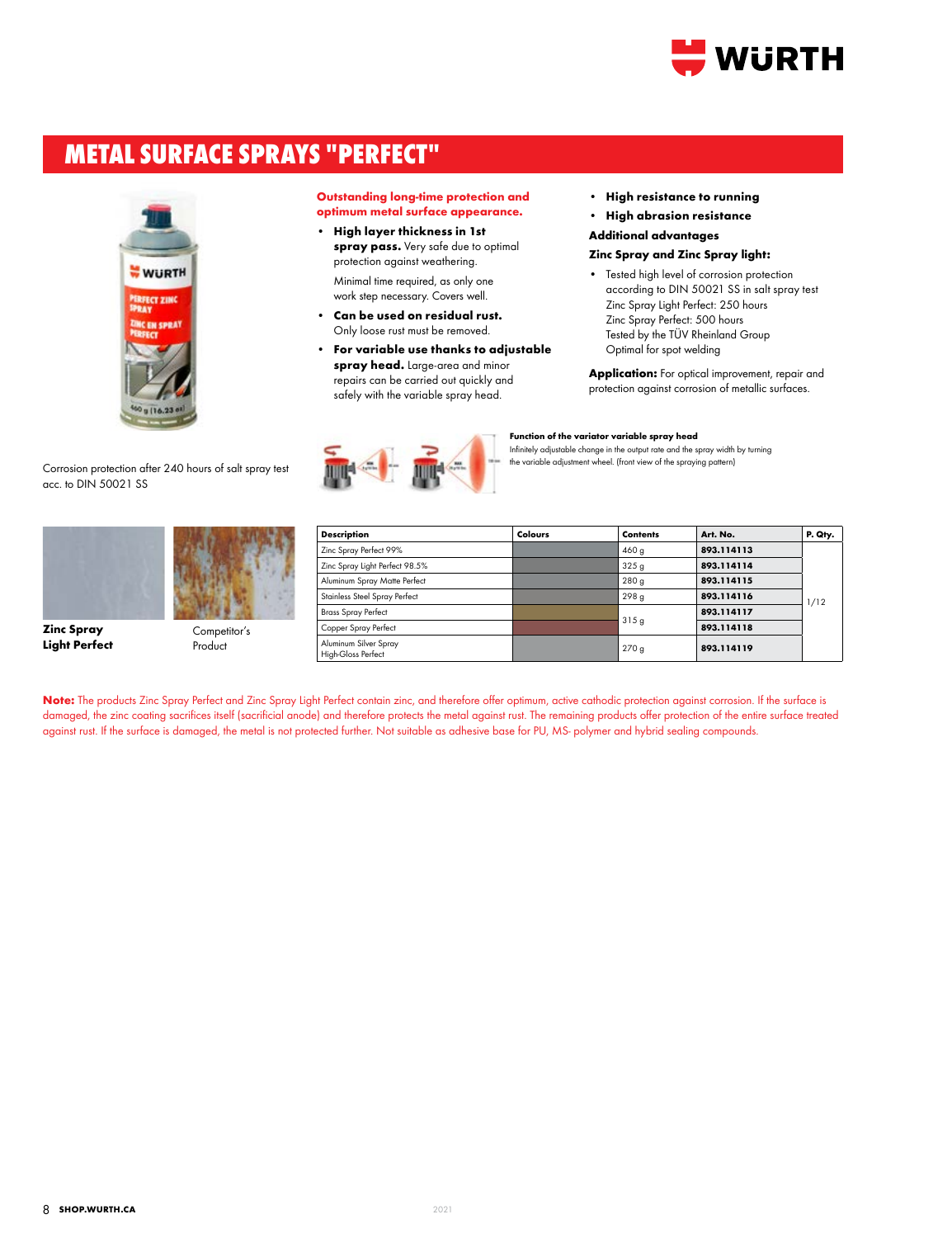

# **METAL SURFACE SPRAYS "PERFECT"**



Corrosion protection after 240 hours of salt spray test acc. to DIN 50021 SS



**Zinc Spray Light Perfect**



Product

**Outstanding long-time protection and optimum metal surface appearance.**

- **• High layer thickness in 1st spray pass.** Very safe due to optimal protection against weathering. Minimal time required, as only one work step necessary. Covers well.
- **• Can be used on residual rust.** Only loose rust must be removed.
- **• For variable use thanks to adjustable spray head.** Large-area and minor repairs can be carried out quickly and safely with the variable spray head.



- **• High resistance to running**
- **• High abrasion resistance**

**Additional advantages**

#### **Zinc Spray and Zinc Spray light:**

• Tested high level of corrosion protection according to DIN 50021 SS in salt spray test Zinc Spray Light Perfect: 250 hours Zinc Spray Perfect: 500 hours Tested by the TÜV Rheinland Group Optimal for spot welding

**Application:** For optical improvement, repair and protection against corrosion of metallic surfaces.

| Description                                 | Colours | <b>Contents</b>  | Art. No.   | P. Qty. |
|---------------------------------------------|---------|------------------|------------|---------|
| Zinc Spray Perfect 99%                      |         | 460 g            | 893.114113 |         |
| Zinc Spray Light Perfect 98.5%              |         | 325 <sub>g</sub> | 893.114114 |         |
| Aluminum Spray Matte Perfect                |         | 280 <sub>g</sub> | 893.114115 |         |
| Stainless Steel Spray Perfect               |         | 298 <sub>g</sub> | 893.114116 | 1/12    |
| <b>Brass Spray Perfect</b>                  |         |                  | 893.114117 |         |
| Copper Spray Perfect                        |         | 315q             | 893.114118 |         |
| Aluminum Silver Spray<br>High-Gloss Perfect |         | 270g             | 893.114119 |         |

**Function of the variator variable spray head**

Infinitely adjustable change in the output rate and the spray width by turning the variable adjustment wheel. (front view of the spraying pattern)

Note: The products Zinc Spray Perfect and Zinc Spray Light Perfect contain zinc, and therefore offer optimum, active cathodic protection against corrosion. If the surface is damaged, the zinc coating sacrifices itself (sacrificial anode) and therefore protects the metal against rust. The remaining products offer protection of the entire surface treated against rust. If the surface is damaged, the metal is not protected further. Not suitable as adhesive base for PU, MS- polymer and hybrid sealing compounds.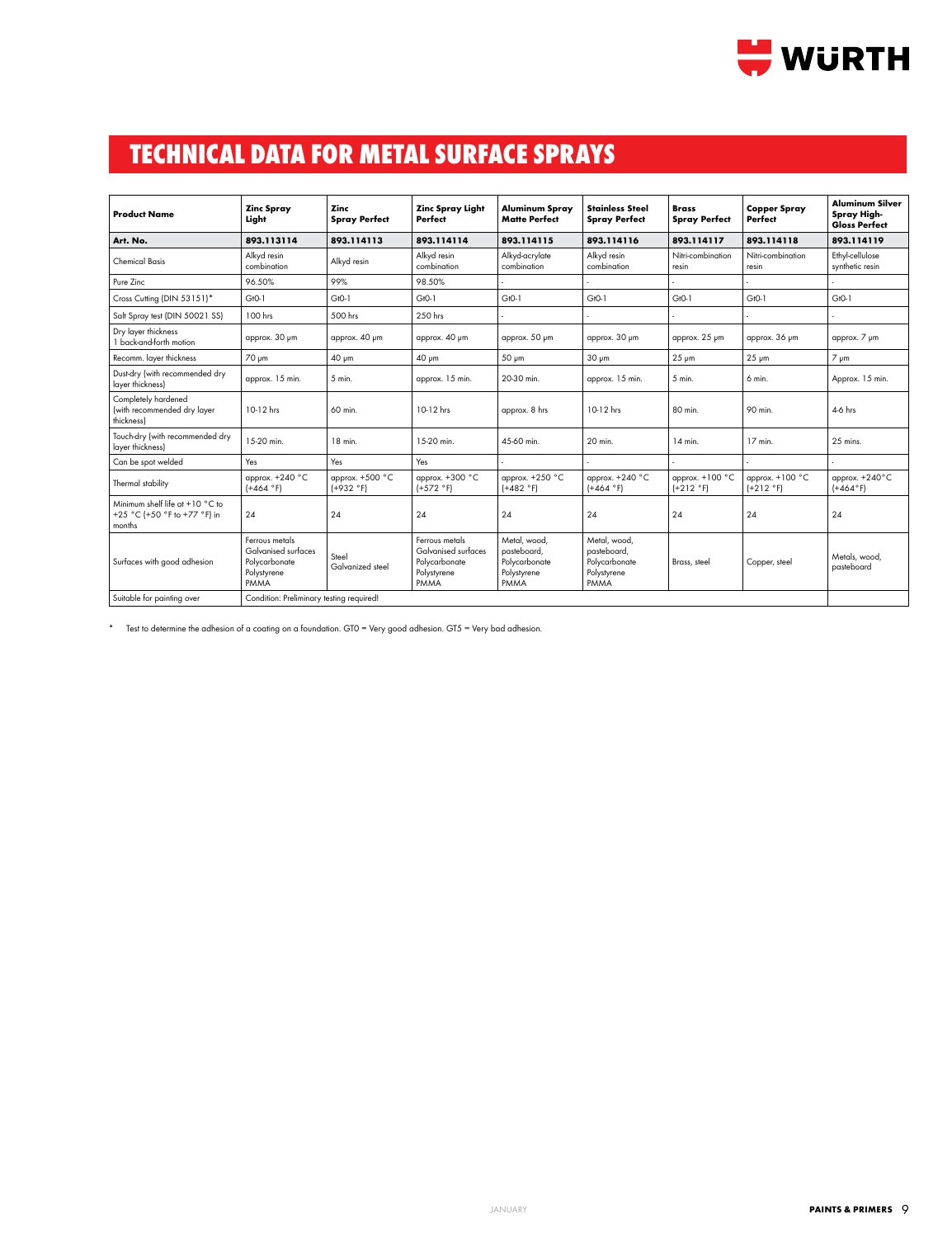

# **TECHNICAL DATA FOR METAL SURFACE SPRAYS**

|                                                                           |                                                                               |                                |                                                                               |                                                                     |                                                                     |                                      |                                | <b>Aluminum Silver</b>                     |
|---------------------------------------------------------------------------|-------------------------------------------------------------------------------|--------------------------------|-------------------------------------------------------------------------------|---------------------------------------------------------------------|---------------------------------------------------------------------|--------------------------------------|--------------------------------|--------------------------------------------|
| <b>Product Name</b>                                                       | <b>Zinc Spray</b><br>Light                                                    | Zinc<br><b>Spray Perfect</b>   | <b>Zinc Spray Light</b><br>Perfect                                            | <b>Aluminum Spray</b><br><b>Matte Perfect</b>                       | <b>Stainless Steel</b><br><b>Spray Perfect</b>                      | <b>Brass</b><br><b>Spray Perfect</b> | <b>Copper Spray</b><br>Perfect | <b>Spray High-</b><br><b>Gloss Perfect</b> |
| Art. No.                                                                  | 893.113114                                                                    | 893.114113                     | 893.114114                                                                    | 893.114115                                                          | 893.114116                                                          | 893.114117                           | 893.114118                     | 893.114119                                 |
| <b>Chemical Basis</b>                                                     | Alkyd resin<br>combination                                                    | Alkyd resin                    | Alkyd resin<br>combination                                                    | Alkyd-acrylate<br>combination                                       | Alkyd resin<br>combination                                          | Nitri-combination<br>resin           | Nitri-combination<br>resin     | Ethyl-cellulose<br>synthetic resin         |
| Pure Zinc                                                                 | 96.50%                                                                        | 99%                            | 98.50%                                                                        |                                                                     |                                                                     |                                      |                                |                                            |
| Cross Cutting (DIN 53151)*                                                | $GtO-1$                                                                       | $GtO-1$                        | $GtO-1$                                                                       | $GtO-1$                                                             | $GtO-1$                                                             | $GtO-1$                              | $GtO-1$                        | $GtO-1$                                    |
| Salt Spray test (DIN 50021 SS)                                            | 100 hrs                                                                       | 500 hrs                        | 250 hrs                                                                       |                                                                     |                                                                     |                                      |                                |                                            |
| Dry layer thickness<br>1 back-and-forth motion                            | approx. 30 µm                                                                 | approx. 40 um                  | approx. 40 um                                                                 | approx. 50 µm                                                       | approx. 30 µm                                                       | approx. 25 µm                        | approx. 36 µm                  | approx. 7 µm                               |
| Recomm. layer thickness                                                   | 70 μm                                                                         | 40 µm                          | 40 µm                                                                         | 50 µm                                                               | $30 \mu m$                                                          | $25 \mu m$                           | $25 \mu m$                     | $7 \mu m$                                  |
| Dust-dry (with recommended dry<br>layer thickness)                        | approx. 15 min.                                                               | 5 min.                         | approx. 15 min.                                                               | 20-30 min.                                                          | approx. 15 min.                                                     | 5 min.                               | 6 min.                         | Approx. 15 min.                            |
| Completely hardened<br>(with recommended dry layer<br>thickness)          | 10-12 hrs                                                                     | 60 min.                        | 10-12 hrs                                                                     | approx. 8 hrs                                                       | 10-12 hrs                                                           | 80 min.                              | 90 min.                        | 4-6 hrs                                    |
| Touch-dry (with recommended dry<br>layer thickness)                       | 15-20 min.                                                                    | 18 min.                        | 15-20 min.                                                                    | 45-60 min.                                                          | 20 min.                                                             | $14$ min.                            | 17 min.                        | 25 mins.                                   |
| Can be spot welded                                                        | Yes                                                                           | Yes                            | Yes                                                                           |                                                                     |                                                                     |                                      |                                |                                            |
| Thermal stability                                                         | approx. +240 °C<br>$(+464 °F)$                                                | approx. +500 °C<br>$(+932 °F)$ | approx. +300 °C<br>$(+572 °F)$                                                | approx. +250 °C<br>$(+482 °F)$                                      | approx. +240 °C<br>$(+464 °F)$                                      | approx. +100 °C<br>$(+212 °F)$       | approx. +100 °C<br>$(+212 °F)$ | approx. +240°C<br>$(+464°F)$               |
| Minimum shelf life at +10 °C to<br>+25 °C (+50 °F to +77 °F) in<br>months | 24                                                                            | 24                             | 24                                                                            | 24                                                                  | 24                                                                  | 24                                   | 24                             | 24                                         |
| Surfaces with good adhesion                                               | Ferrous metals<br>Galvanised surfaces<br>Polycarbonate<br>Polystyrene<br>PMMA | Steel<br>Galvanized steel      | Ferrous metals<br>Galvanised surfaces<br>Polycarbonate<br>Polystyrene<br>PMMA | Metal, wood.<br>pasteboard.<br>Polycarbonate<br>Polystyrene<br>PMMA | Metal, wood,<br>pasteboard.<br>Polycarbonate<br>Polystyrene<br>PMMA | Brass, steel                         | Copper, steel                  | Metals, wood,<br>pasteboard                |
| Suitable for painting over                                                | Condition: Preliminary testing required!                                      |                                |                                                                               |                                                                     |                                                                     |                                      |                                |                                            |

\* Test to determine the adhesion of a coating on a foundation. GT0 = Very good adhesion. GT5 = Very bad adhesion.